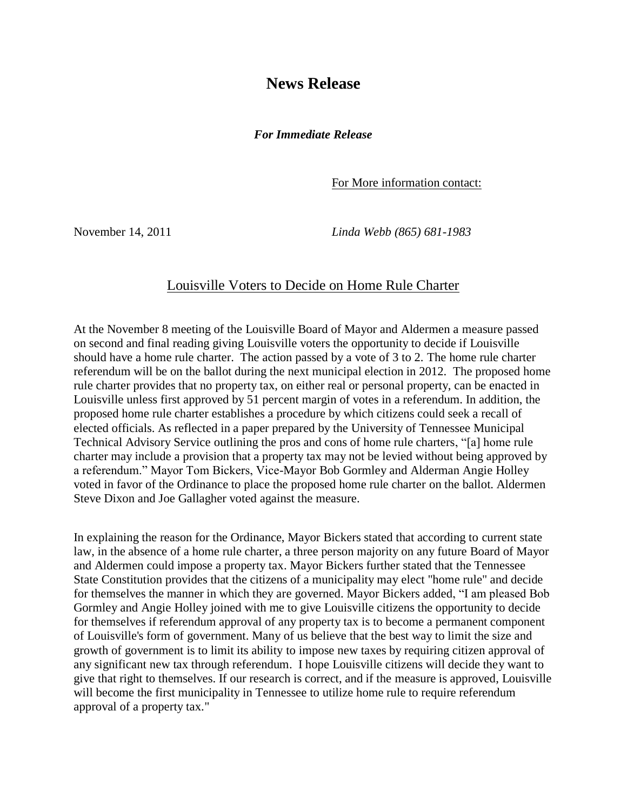## **News Release**

*For Immediate Release*

For More information contact:

November 14, 2011 *Linda Webb (865) 681-1983*

## Louisville Voters to Decide on Home Rule Charter

At the November 8 meeting of the Louisville Board of Mayor and Aldermen a measure passed on second and final reading giving Louisville voters the opportunity to decide if Louisville should have a home rule charter. The action passed by a vote of 3 to 2. The home rule charter referendum will be on the ballot during the next municipal election in 2012. The proposed home rule charter provides that no property tax, on either real or personal property, can be enacted in Louisville unless first approved by 51 percent margin of votes in a referendum. In addition, the proposed home rule charter establishes a procedure by which citizens could seek a recall of elected officials. As reflected in a paper prepared by the University of Tennessee Municipal Technical Advisory Service outlining the pros and cons of home rule charters, "[a] home rule charter may include a provision that a property tax may not be levied without being approved by a referendum." Mayor Tom Bickers, Vice-Mayor Bob Gormley and Alderman Angie Holley voted in favor of the Ordinance to place the proposed home rule charter on the ballot. Aldermen Steve Dixon and Joe Gallagher voted against the measure.

In explaining the reason for the Ordinance, Mayor Bickers stated that according to current state law, in the absence of a home rule charter, a three person majority on any future Board of Mayor and Aldermen could impose a property tax. Mayor Bickers further stated that the Tennessee State Constitution provides that the citizens of a municipality may elect "home rule" and decide for themselves the manner in which they are governed. Mayor Bickers added, "I am pleased Bob Gormley and Angie Holley joined with me to give Louisville citizens the opportunity to decide for themselves if referendum approval of any property tax is to become a permanent component of Louisville's form of government. Many of us believe that the best way to limit the size and growth of government is to limit its ability to impose new taxes by requiring citizen approval of any significant new tax through referendum. I hope Louisville citizens will decide they want to give that right to themselves. If our research is correct, and if the measure is approved, Louisville will become the first municipality in Tennessee to utilize home rule to require referendum approval of a property tax."